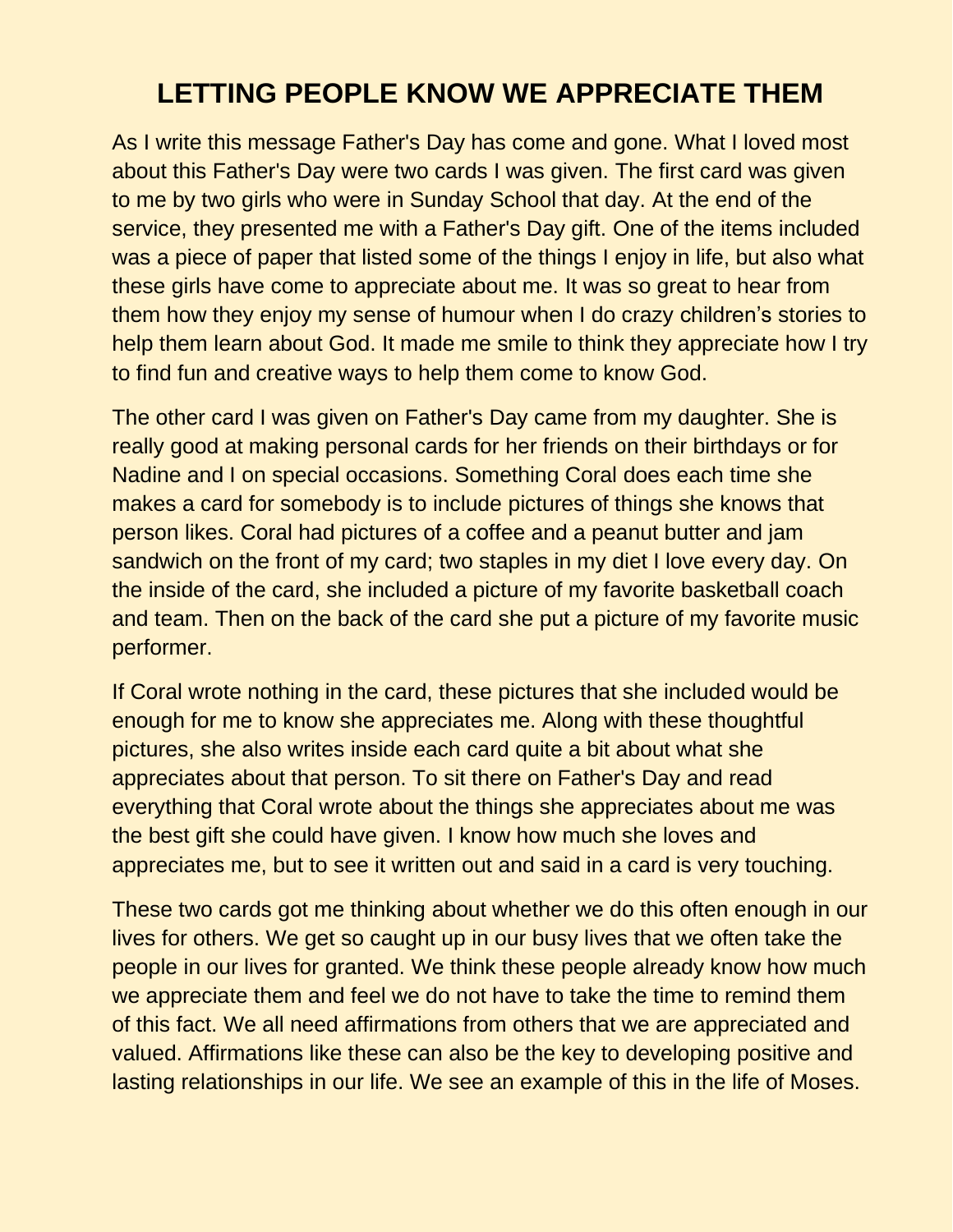## **LETTING PEOPLE KNOW WE APPRECIATE THEM**

As I write this message Father's Day has come and gone. What I loved most about this Father's Day were two cards I was given. The first card was given to me by two girls who were in Sunday School that day. At the end of the service, they presented me with a Father's Day gift. One of the items included was a piece of paper that listed some of the things I enjoy in life, but also what these girls have come to appreciate about me. It was so great to hear from them how they enjoy my sense of humour when I do crazy children's stories to help them learn about God. It made me smile to think they appreciate how I try to find fun and creative ways to help them come to know God.

The other card I was given on Father's Day came from my daughter. She is really good at making personal cards for her friends on their birthdays or for Nadine and I on special occasions. Something Coral does each time she makes a card for somebody is to include pictures of things she knows that person likes. Coral had pictures of a coffee and a peanut butter and jam sandwich on the front of my card; two staples in my diet I love every day. On the inside of the card, she included a picture of my favorite basketball coach and team. Then on the back of the card she put a picture of my favorite music performer.

If Coral wrote nothing in the card, these pictures that she included would be enough for me to know she appreciates me. Along with these thoughtful pictures, she also writes inside each card quite a bit about what she appreciates about that person. To sit there on Father's Day and read everything that Coral wrote about the things she appreciates about me was the best gift she could have given. I know how much she loves and appreciates me, but to see it written out and said in a card is very touching.

These two cards got me thinking about whether we do this often enough in our lives for others. We get so caught up in our busy lives that we often take the people in our lives for granted. We think these people already know how much we appreciate them and feel we do not have to take the time to remind them of this fact. We all need affirmations from others that we are appreciated and valued. Affirmations like these can also be the key to developing positive and lasting relationships in our life. We see an example of this in the life of Moses.